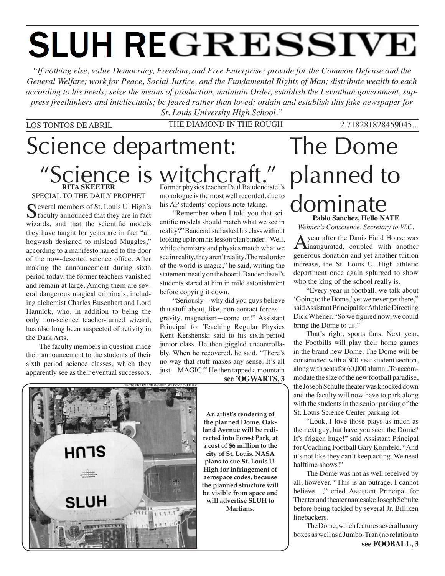# **SLUH REGRESSIVE**

*"If nothing else, value Democracy, Freedom, and Free Enterprise; provide for the Common Defense and the General Welfare; work for Peace, Social Justice, and the Fundamental Rights of Man; distribute wealth to each according to his needs; seize the means of production, maintain Order, establish the Leviathan government, suppress freethinkers and intellectuals; be feared rather than loved; ordain and establish this fake newspaper for St. Louis University High School."*

### LOS TONTOS DE ABRIL THE DIAMOND IN THE ROUGH 2.718281828459045...

# Science department: "Science is witchcraft."

Photo STOLEN and shopped. WE DON'T CARE. HA!

**RITA SKEETER** SPECIAL TO THE DAILY PROPHET

Several members of St. Louis U. High's<br>
Seculty announced that they are in fact wizards, and that the scientific models they have taught for years are in fact "all hogwash designed to mislead Muggles," according to a manifesto nailed to the door of the now-deserted science office. After making the announcement during sixth period today, the former teachers vanished and remain at large. Among them are several dangerous magical criminals, including alchemist Charles Busenhart and Lord Hannick, who, in addition to being the only non-science teacher-turned wizard, has also long been suspected of activity in the Dark Arts.

The faculty members in question made their announcement to the students of their sixth period science classes, which they apparently see as their eventual successors.

Former physics teacher Paul Baudendistel's monologue is the most well recorded, due to his AP students' copious note-taking.

"Remember when I told you that scientific models should match what we see in reality?" Baudendistel asked his class without looking up from his lesson plan binder. "Well, while chemistry and physics match what we see in reality, they aren't reality. The real order of the world is magic," he said, writing the statement neatly on the board. Baudendistel's students stared at him in mild astonishment before copying it down.

"Seriously—why did you guys believe that stuff about, like, non-contact forces gravity, magnetism—come on!" Assistant Principal for Teaching Regular Physics Kent Kershenski said to his sixth-period junior class. He then giggled uncontrollably. When he recovered, he said, "There's no way that stuff makes any sense. It's all just—MAGIC!" He then tapped a mountain





**An artist's rendering of the planned Dome. Oakland Avenue will be redirected into Forest Park, at a cost of \$6 million to the city of St. Louis. NASA plans to sue St. Louis U. High for infringement of aerospace codes, because the planned structure will be visible from space and will advertise SLUH to Martians.** 

### The Dome planned to dominate **Pablo Sanchez, Hello NATE**

*Wehner's Conscience, Secretary to W.C.*

A year after the Danis Field House was<br>
inaugurated, coupled with another generous donation and yet another tuition increase, the St. Louis U. High athletic department once again splurged to show who the king of the school really is.

"Every year in football, we talk about 'Going to the Dome,' yet we never get there," said Assistant Principal for Athletic Directing Dick Whener. "So we figured now, we could bring the Dome to us."

That's right, sports fans. Next year, the Footbills will play their home games in the brand new Dome. The Dome will be constructed with a 300-seat student section, along with seats for 60,000 alumni. To accommodate the size of the new football paradise, the Joseph Schulte theater was knocked down and the faculty will now have to park along with the students in the senior parking of the St. Louis Science Center parking lot.

"Look, I love those plays as much as the next guy, but have you seen the Dome? It's friggen huge!" said Assistant Principal for Coaching Football Gary Kornfeld. "And it's not like they can't keep acting. We need halftime shows!"

The Dome was not as well received by all, however. "This is an outrage. I cannot believe—," cried Assistant Principal for Theater and theater namesake Joseph Schulte before being tackled by several Jr. Billiken linebackers.

**see FOOBALL, 3** The Dome, which features several luxury boxes as well as a Jumbo-Tran (no relation to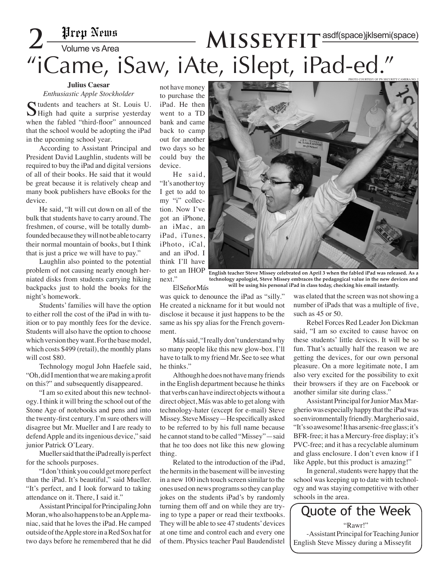# $2-\frac{\text{#rep News}}{\text{Volume vs Area}}$   $MISSEYFIT^{\text{asdf(space)}\text{jklsemi(space)}}$ "iCame, iSaw, iAte, iSlept, iPad-ed."

### **Julius Caesar**

*Enthusiastic Apple Stockholder*

Students and teachers at St. Louis U.  $\bigcup$  High had quite a surprise yesterday when the fabled "third-floor" announced that the school would be adopting the iPad in the upcoming school year.

 According to Assistant Principal and President David Laughlin, students will be required to buy the iPad and digital versions of all of their books. He said that it would be great because it is relatively cheap and many book publishers have eBooks for the device.

 He said, "It will cut down on all of the bulk that students have to carry around. The freshmen, of course, will be totally dumbfounded because they will not be able to carry their normal mountain of books, but I think that is just a price we will have to pay."

 Laughlin also pointed to the potential problem of not causing nearly enough herniated disks from students carrying hiking backpacks just to hold the books for the night's homework.

 Students' families will have the option to either roll the cost of the iPad in with tuition or to pay monthly fees for the device. Students will also have the option to choose which version they want. For the base model, which costs \$499 (retail), the monthly plans will cost \$80.

Technology mogul John Haefele said, "Oh, did I mention that we are making a profit on this?" and subsequently disappeared.

"I am so exited about this new technology. I think it will bring the school out of the Stone Age of notebooks and pens and into the twenty-first century. I'm sure others will disagree but Mr. Mueller and I are ready to defend Apple and its ingenious device," said junior Patrick O'Leary.

 Mueller said that the iPad really is perfect for the schools purposes.

"I don't think you could get more perfect than the iPad. It's beautiful," said Mueller. "It's perfect, and I look forward to taking attendance on it. There, I said it."

 Assistant Principal for Principaling John Moran, who also happens to be an Apple maniac, said that he loves the iPad. He camped outside of the Apple store in a Red Sox hat for two days before he remembered that he did

not have money to purchase the iPad. He then went to a TD bank and came back to camp out for another two days so he could buy the device.

 He said, "It's another toy I get to add to my "i" collection. Now I've got an iPhone, an iMac, an iPad, iTunes, iPhoto, iCal, and an iPod. I think I'll have to get an IHOP next."



**English teacher Steve Missey celebrated on April 3 when the fabled iPad was released. As a technology apologist, Steve Missey embraces the pedagogical value in the new devices and will be using his personal iPad in class today, checking his email instantly.**

El Señor Más

was quick to denounce the iPad as "silly." He created a nickname for it but would not disclose it because it just happens to be the same as his spy alias for the French government.

 Más said, "I really don't understand why so many people like this new glow-box. I'll have to talk to my friend Mr. See to see what he thinks."

 Although he does not have many friends in the English department because he thinks that verbs can have indirect objects without a direct object, Más was able to get along with technology-hater (except for e-mail) Steve Missey. Steve Missey—He specifically asked to be referred to by his full name because he cannot stand to be called "Missey"—said that he too does not like this new glowing thing.

Related to the introduction of the iPad, the hermits in the basement will be investing in a new 100 inch touch screen similar to the ones used on news programs so they can play jokes on the students iPad's by randomly turning them off and on while they are trying to type a paper or read their textbooks. They will be able to see 47 students' devices at one time and control each and every one of them. Physics teacher Paul Baudendistel was elated that the screen was not showing a number of iPads that was a multiple of five, such as 45 or 50.

Rebel Forces Red Leader Jon Dickman said, "I am so excited to cause havoc on these students' little devices. It will be so fun. That's actually half the reason we are getting the devices, for our own personal pleasure. On a more legitimate note, I am also very excited for the possibility to exit their browsers if they are on Facebook or another similar site during class."

 Assistant Principal for Junior Max Margherio was especially happy that the iPad was so environmentally friendly. Margherio said, "It's so awesome! It has arsenic-free glass; it's BFR-free; it has a Mercury-free display; it's PVC-free; and it has a recyclable aluminum and glass enclosure. I don't even know if I like Apple, but this product is amazing!"

 In general, students were happy that the school was keeping up to date with technology and was staying competitive with other schools in the area.



-Assistant Principal for Teaching Junior English Steve Missey during a Misseyfit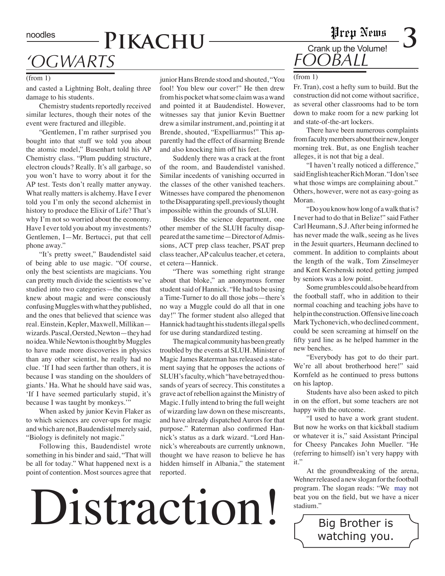# *'Ogwarts*

### (from 1)

and casted a Lightning Bolt, dealing three damage to his students.

Chemistry students reportedly received similar lectures, though their notes of the event were fractured and illegible.

"Gentlemen, I'm rather surprised you bought into that stuff we told you about the atomic model," Busenhart told his AP Chemistry class. "Plum pudding structure, electron clouds? Really. It's all garbage, so you won't have to worry about it for the AP test. Tests don't really matter anyway. What really matters is alchemy. Have I ever told you I'm only the second alchemist in history to produce the Elixir of Life? That's why I'm not so worried about the economy. Have I ever told you about my investments? Gentlemen, I—Mr. Bertucci, put that cell phone away."

"It's pretty sweet," Baudendistel said of being able to use magic. "Of course, only the best scientists are magicians. You can pretty much divide the scientists we've studied into two categories—the ones that knew about magic and were consciously confusing Muggles with what they published, and the ones that believed that science was real. Einstein, Kepler, Maxwell, Millikan wizards. Pascal, Oersted, Newton—they had no idea. While Newton is thought by Muggles to have made more discoveries in physics than any other scientist, he really had no clue. 'If I had seen farther than others, it is because I was standing on the shoulders of giants.' Ha. What he should have said was, 'If I have seemed particularly stupid, it's because I was taught by monkeys.'"

When asked by junior Kevin Flaker as to which sciences are cover-ups for magic and which are not, Baudendistel merely said, "Biology is definitely not magic."

Following this, Baudendistel wrote something in his binder and said, "That will be all for today." What happened next is a point of contention. Most sources agree that

junior Hans Brende stood and shouted, "You fool! You blew our cover!" He then drew from his pocket what some claim was a wand and pointed it at Baudendistel. However, witnesses say that junior Kevin Buettner drew a similar instrument, and, pointing it at Brende, shouted, "Expelliarmus!" This apparently had the effect of disarming Brende and also knocking him off his feet.

 Suddenly there was a crack at the front of the room, and Baudendistel vanished. Similar incedents of vanishing occurred in the classes of the other vanished teachers. Witnesses have compared the phenomenon to the Disapparating spell, previously thought impossible within the grounds of SLUH.

 Besides the science department, one other member of the SLUH faculty disappeared at the same time—Director of Admissions, ACT prep class teacher, PSAT prep class teacher, AP calculus teacher, et cetera, et cetera—Hannick.

"There was something right strange about that bloke," an anonymous former student said of Hannick. "He had to be using a Time-Turner to do all those jobs—there's no way a Muggle could do all that in one day!" The former student also alleged that Hannick had taught his students illegal spells for use during standardized testing.

The magical community has been greatly troubled by the events at SLUH. Minister of Magic James Raterman has released a statement saying that he opposes the actions of SLUH's faculty, which "have betrayed thousands of years of secrecy. This constitutes a grave act of rebellion against the Ministry of Magic. I fully intend to bring the full weight of wizarding law down on these miscreants, and have already dispatched Aurors for that purpose." Raterman also confirmed Hannick's status as a dark wizard. "Lord Hannick's whereabouts are currently unknown, thought we have reason to believe he has hidden himself in Albania," the statement reported.

# Distraction ! Stadium."<br>Big Brother is

### noodles **PIKACHU** Crank up the Volume! *FOOBALL*

### (from 1)

Fr. Tran), cost a hefty sum to build. But the construction did not come without sacrifice, as several other classrooms had to be torn down to make room for a new parking lot and state-of-the-art lockers.

There have been numerous complaints from faculty members about their new, longer morning trek. But, as one English teacher alleges, it is not that big a deal.

"I haven't really noticed a difference," said English teacher Rich Moran. "I don't see what those wimps are complaining about." Others, however, were not as easy-going as Moran.

"Do you know how long of a walk that is? I never had to do that in Belize!" said Father Carl Heumann, S.J. After being informed he has never made the walk, seeing as he lives in the Jesuit quarters, Heumann declined to comment. In addition to complaints about the length of the walk, Tom Zinselmeyer and Kent Kershenski noted getting jumped by seniors was a low point.

 Some grumbles could also be heard from the football staff, who in addition to their normal coaching and teaching jobs have to help in the construction. Offensive line coach Mark Tychonevich, who declined comment, could be seen screaming at himself on the fifty yard line as he helped hammer in the new benches.

"Everybody has got to do their part. We're all about brotherhood here!" said Kornfeld as he continued to press buttons on his laptop.

 Students have also been asked to pitch in on the effort, but some teachers are not happy with the outcome.

"I used to have a work grant student. But now he works on that kickball stadium or whatever it is," said Assistant Principal for Cheesy Pancakes John Mueller. "He (referring to himself) isn't very happy with it."

 At the groundbreaking of the arena, Wehner released a new slogan for the football program. The slogan reads: "We may not beat you on the field, but we have a nicer stadium."

watching you.